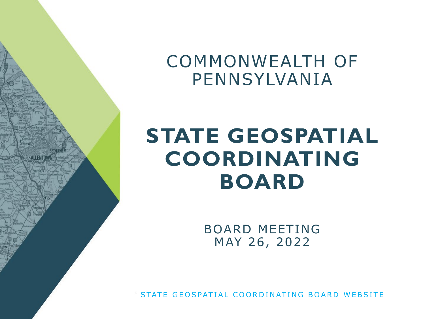COMMONWEALTH OF PENNSYLVANIA

# **STATE GEOSPATIAL COORDINATING BOARD**

BOARD MEETING MAY 26, 2022

[STATE GEOSPATIAL COORDINATING BOARD WEBSITE](http://www.oa.pa.gov/Programs/Information%20Technology/Pages/geoboard.aspx)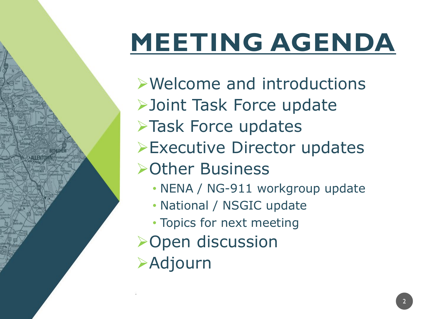# **MEETING AGENDA**

Welcome and introductions Joint Task Force update >Task Force updates Executive Director updates Other Business • NENA / NG-911 workgroup update • National / NSGIC update • Topics for next meeting **>Open discussion >Adjourn**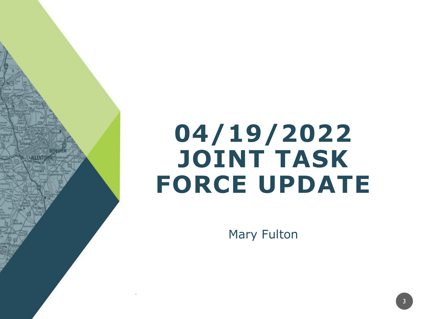# **04/19/2022 JOINT TASK FORCE UPDATE**

Mary Fulton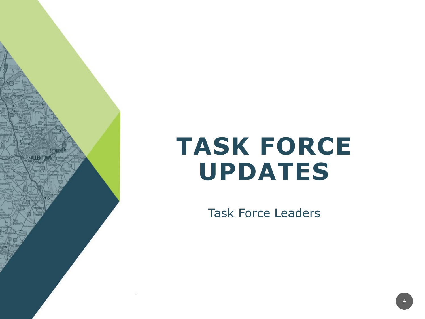

**ALLENTO** 

Task Force Leaders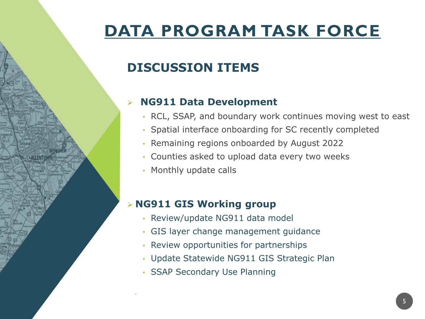## **DISCUSSION ITEMS**

### **NG911 Data Development**

- RCL, SSAP, and boundary work continues moving west to east
- Spatial interface onboarding for SC recently completed
- Remaining regions onboarded by August 2022
- Counties asked to upload data every two weeks
- Monthly update calls

#### **NG911 GIS Working group**

- Review/update NG911 data model
- GIS layer change management guidance
- Review opportunities for partnerships
- Update Statewide NG911 GIS Strategic Plan
- SSAP Secondary Use Planning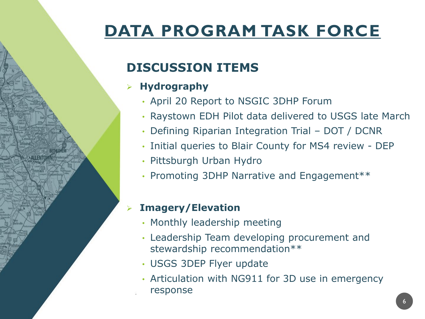## **DISCUSSION ITEMS**

### **Hydrography**

- April 20 Report to NSGIC 3DHP Forum
- Raystown EDH Pilot data delivered to USGS late March
- Defining Riparian Integration Trial DOT / DCNR
- Initial queries to Blair County for MS4 review DEP
- Pittsburgh Urban Hydro
- Promoting 3DHP Narrative and Engagement\*\*

### **Imagery/Elevation**

- Monthly leadership meeting
- Leadership Team developing procurement and stewardship recommendation\*\*
- USGS 3DEP Flyer update
- Articulation with NG911 for 3D use in emergency response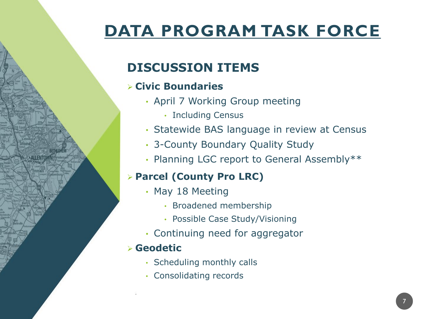## **DISCUSSION ITEMS**

### **Civic Boundaries**

- April 7 Working Group meeting
	- Including Census
- Statewide BAS language in review at Census
- 3-County Boundary Quality Study
- Planning LGC report to General Assembly\*\*

### **Parcel (County Pro LRC)**

- May 18 Meeting
	- Broadened membership
	- Possible Case Study/Visioning
- Continuing need for aggregator

### **Geodetic**

- Scheduling monthly calls
- Consolidating records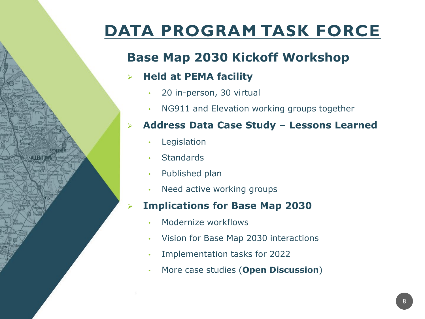## **Base Map 2030 Kickoff Workshop**

### **Held at PEMA facility**

- 20 in-person, 30 virtual
- NG911 and Elevation working groups together

#### **Address Data Case Study – Lessons Learned**

- **Legislation**
- **Standards**
- Published plan
- Need active working groups

#### **Implications for Base Map 2030**

- Modernize workflows
- Vision for Base Map 2030 interactions
- Implementation tasks for 2022
- More case studies (**Open Discussion**)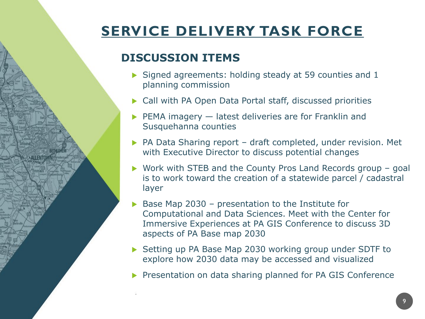## **SERVICE DELIVERY TASK FORCE**

### **DISCUSSION ITEMS**

- $\triangleright$  Signed agreements: holding steady at 59 counties and 1 planning commission
- ▶ Call with PA Open Data Portal staff, discussed priorities
- PEMA imagery latest deliveries are for Franklin and Susquehanna counties
- ▶ PA Data Sharing report draft completed, under revision. Met with Executive Director to discuss potential changes
- ▶ Work with STEB and the County Pros Land Records group goal is to work toward the creation of a statewide parcel / cadastral layer
- $\triangleright$  Base Map 2030 presentation to the Institute for Computational and Data Sciences. Meet with the Center for Immersive Experiences at PA GIS Conference to discuss 3D aspects of PA Base map 2030
- ▶ Setting up PA Base Map 2030 working group under SDTF to explore how 2030 data may be accessed and visualized
- **Presentation on data sharing planned for PA GIS Conference**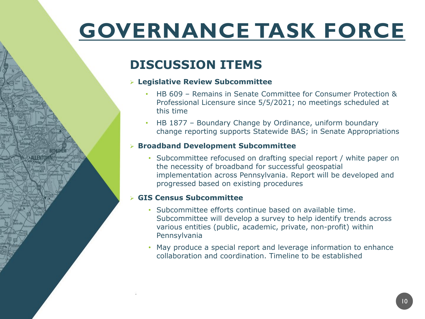# **GOVERNANCE TASK FORCE**

### **DISCUSSION ITEMS**

#### **Legislative Review Subcommittee**

- HB 609 Remains in Senate Committee for Consumer Protection & Professional Licensure since 5/5/2021; no meetings scheduled at this time
- HB 1877 Boundary Change by Ordinance, uniform boundary change reporting supports Statewide BAS; in Senate Appropriations

#### **Broadband Development Subcommittee**

• Subcommittee refocused on drafting special report / white paper on the necessity of broadband for successful geospatial implementation across Pennsylvania. Report will be developed and progressed based on existing procedures

#### **GIS Census Subcommittee**

- Subcommittee efforts continue based on available time. Subcommittee will develop a survey to help identify trends across various entities (public, academic, private, non-profit) within Pennsylvania
- May produce a special report and leverage information to enhance collaboration and coordination. Timeline to be established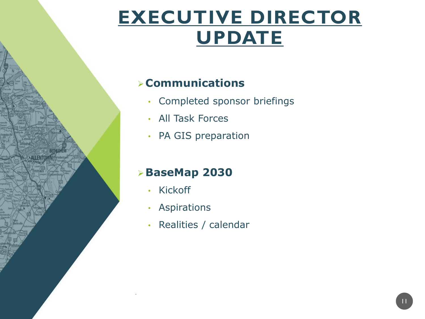## **EXECUTIVE DIRECTOR UPDATE**

### **Communications**

- Completed sponsor briefings
- All Task Forces
- PA GIS preparation

### **BaseMap 2030**

• Kickoff

**ALLENTO** 

- Aspirations
- Realities / calendar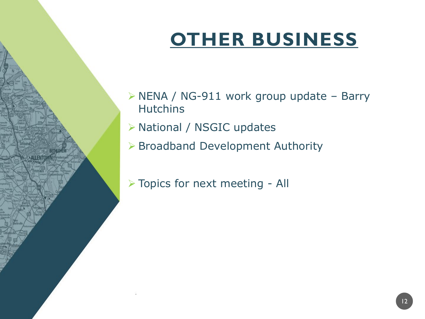## **OTHER BUSINESS**

- $\triangleright$  NENA / NG-911 work group update Barry **Hutchins**
- National / NSGIC updates
- Broadband Development Authority
- > Topics for next meeting All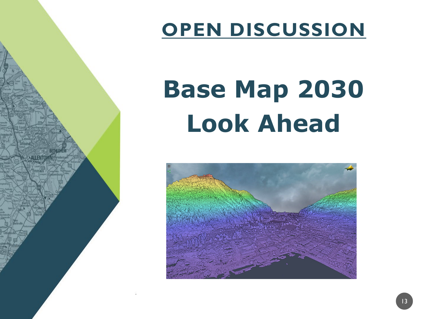

## **OPEN DISCUSSION**

# **Base Map 2030 Look Ahead**

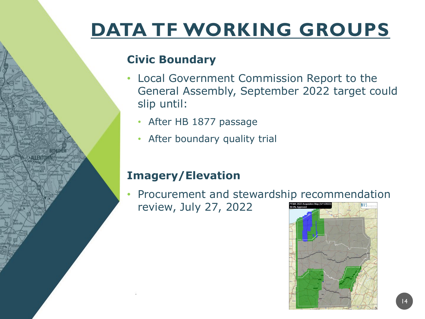# **DATA TF WORKING GROUPS**

### **Civic Boundary**

- Local Government Commission Report to the General Assembly, September 2022 target could slip until:
	- After HB 1877 passage
	- After boundary quality trial

### **Imagery/Elevation**

• Procurement and stewardship recommendation review, July 27, 2022

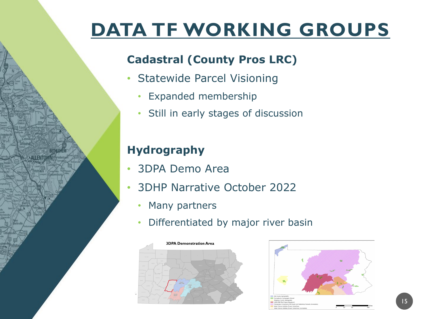## **DATA TF WORKING GROUPS**

### **Cadastral (County Pros LRC)**

- Statewide Parcel Visioning
	- Expanded membership
	- Still in early stages of discussion

### **Hydrography**

**ALLENTO** 

- 3DPA Demo Area
- 3DHP Narrative October 2022
	- Many partners
	- Differentiated by major river basin



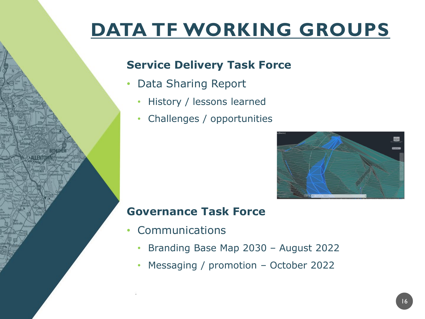## **DATA TF WORKING GROUPS**

### **Service Delivery Task Force**

- Data Sharing Report
	- History / lessons learned
	- Challenges / opportunities



### **Governance Task Force**

- Communications
	- Branding Base Map 2030 August 2022
	- Messaging / promotion October 2022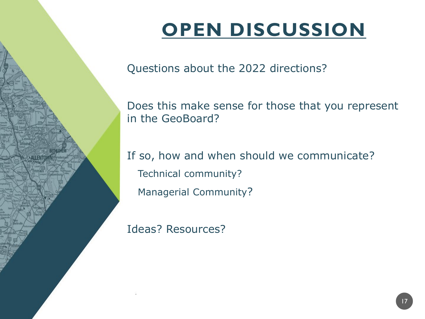# **OPEN DISCUSSION**

Questions about the 2022 directions?

Does this make sense for those that you represent in the GeoBoard?

If so, how and when should we communicate? Technical community? Managerial Community?

Ideas? Resources?